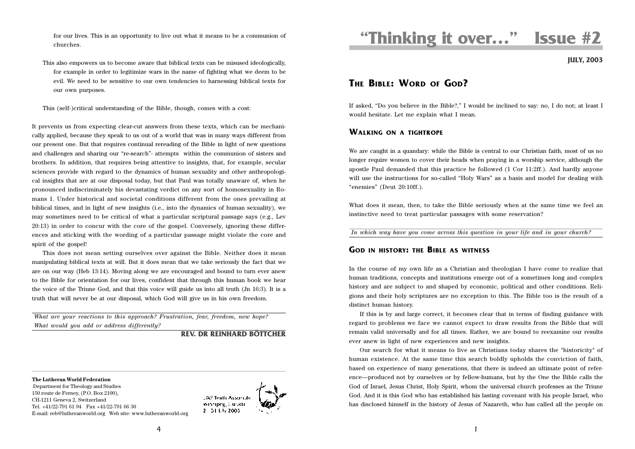for our lives. This is an opportunity to live out what it means to be a communion of churches.

This also empowers us to become aware that biblical texts can be misused ideologically, for example in order to legitimize wars in the name of fighting what we deem to be evil. We need to be sensitive to our own tendencies to harnessing biblical texts for our own purposes.

This (self-)critical understanding of the Bible, though, comes with a cost:

It prevents us from expecting clear-cut answers from these texts, which can be mechanically applied, because they speak to us out of a world that was in many ways different from our present one. But that requires continual rereading of the Bible in light of new questions and challenges and sharing our "re-search"- attempts within the communion of sisters and brothers. In addition, that requires being attentive to insights, that, for example, secular sciences provide with regard to the dynamics of human sexuality and other anthropological insights that are at our disposal today, but that Paul was totally unaware of, when he pronounced indiscriminately his devastating verdict on any sort of homosexuality in Romans 1. Under historical and societal conditions different from the ones prevailing at biblical times, and in light of new insights (i.e., into the dynamics of human sexuality), we may sometimes need to be critical of what a particular scriptural passage says (e.g., Lev 20:13) in order to concur with the core of the gospel. Conversely, ignoring these differences and sticking with the wording of a particular passage might violate the core and spirit of the gospel!

This does not mean setting ourselves over against the Bible. Neither does it mean manipulating biblical texts at will. But it does mean that we take seriously the fact that we are on our way (Heb 13:14). Moving along we are encouraged and bound to turn ever anew to the Bible for orientation for our lives, confident that through this human book we hear the voice of the Triune God, and that this voice will guide us into all truth (Jn 16:3). It is a truth that will never be at our disposal, which God will give us in his own freedom.

*What are your reactions to this approach? Frustration, fear, freedom, new hope? What would you add or address differently?*

#### **REV. DR REINHARD BÖTTCHER**

**The Lutheran World Federation**

 Department for Theology and Studies 150 route de Ferney, (P.O. Box 2100), CH-1211 Geneva 2, Switzerland Tel. +41/22-791 61 94 Fax +41/22-791 66 30 E-mail: reb@lutheranworld.org Web site: www.lutheranworld.org



# **"Thinking it over…" Issue #2**

**JULY, 2003**

## **THE BIBLE: WORD OF GOD?**

If asked, "Do you believe in the Bible?," I would be inclined to say: no, I do not; at least I would hesitate. Let me explain what I mean.

#### **WALKING ON <sup>A</sup> TIGHTROPE**

We are caught in a quandary: while the Bible is central to our Christian faith, most of us no longer require women to cover their heads when praying in a worship service, although the apostle Paul demanded that this practice be followed (1 Cor 11:2ff.). And hardly anyone will use the instructions for so-called "Holy Wars" as a basis and model for dealing with "enemies" (Deut 20:10ff.).

What does it mean, then, to take the Bible seriously when at the same time we feel an instinctive need to treat particular passages with some reservation?

*In which way have you come across this question in your life and in your church?*

### **GOD IN HISTORY: THE BIBLE AS WITNESS**

In the course of my own life as a Christian and theologian I have come to realize that human traditions, concepts and institutions emerge out of a sometimes long and complex history and are subject to and shaped by economic, political and other conditions. Religions and their holy scriptures are no exception to this. The Bible too is the result of a distinct human history.

If this is by and large correct, it becomes clear that in terms of finding guidance with regard to problems we face we cannot expect to draw results from the Bible that will remain valid universally and for all times. Rather, we are bound to reexamine our results ever anew in light of new experiences and new insights.

Our search for what it means to live as Christians today shares the "historicity" of human existence. At the same time this search boldly upholds the conviction of faith, based on experience of many generations, that there is indeed an ultimate point of reference—produced not by ourselves or by fellow-humans, but by the One the Bible calls the God of Israel, Jesus Christ, Holy Spirit, whom the universal church professes as the Triune God. And it is this God who has established his lasting covenant with his people Israel, who has disclosed himself in the history of Jesus of Nazareth, who has called all the people on